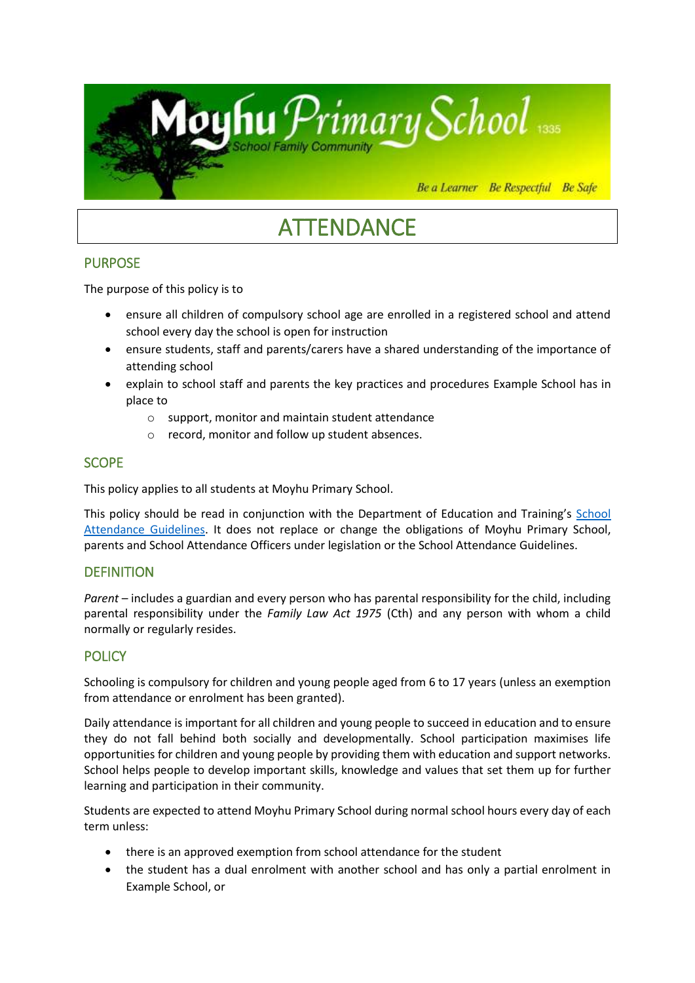

# **ATTENDANCE**

# PURPOSE

The purpose of this policy is to

- ensure all children of compulsory school age are enrolled in a registered school and attend school every day the school is open for instruction
- ensure students, staff and parents/carers have a shared understanding of the importance of attending school
- explain to school staff and parents the key practices and procedures Example School has in place to
	- o support, monitor and maintain student attendance
	- o record, monitor and follow up student absences.

# **SCOPE**

This policy applies to all students at Moyhu Primary School.

This policy should be read in conjunction with the Department of Education and Training's School [Attendance Guidelines.](https://www.education.vic.gov.au/school/teachers/studentmanagement/attendance/Pages/default.aspx) It does not replace or change the obligations of Moyhu Primary School, parents and School Attendance Officers under legislation or the School Attendance Guidelines.

# **DEFINITION**

*Parent* – includes a guardian and every person who has parental responsibility for the child, including parental responsibility under the *Family Law Act 1975* (Cth) and any person with whom a child normally or regularly resides.

# **POLICY**

Schooling is compulsory for children and young people aged from 6 to 17 years (unless an exemption from attendance or enrolment has been granted).

Daily attendance is important for all children and young people to succeed in education and to ensure they do not fall behind both socially and developmentally. School participation maximises life opportunities for children and young people by providing them with education and support networks. School helps people to develop important skills, knowledge and values that set them up for further learning and participation in their community.

Students are expected to attend Moyhu Primary School during normal school hours every day of each term unless:

- there is an approved exemption from school attendance for the student
- the student has a dual enrolment with another school and has only a partial enrolment in Example School, or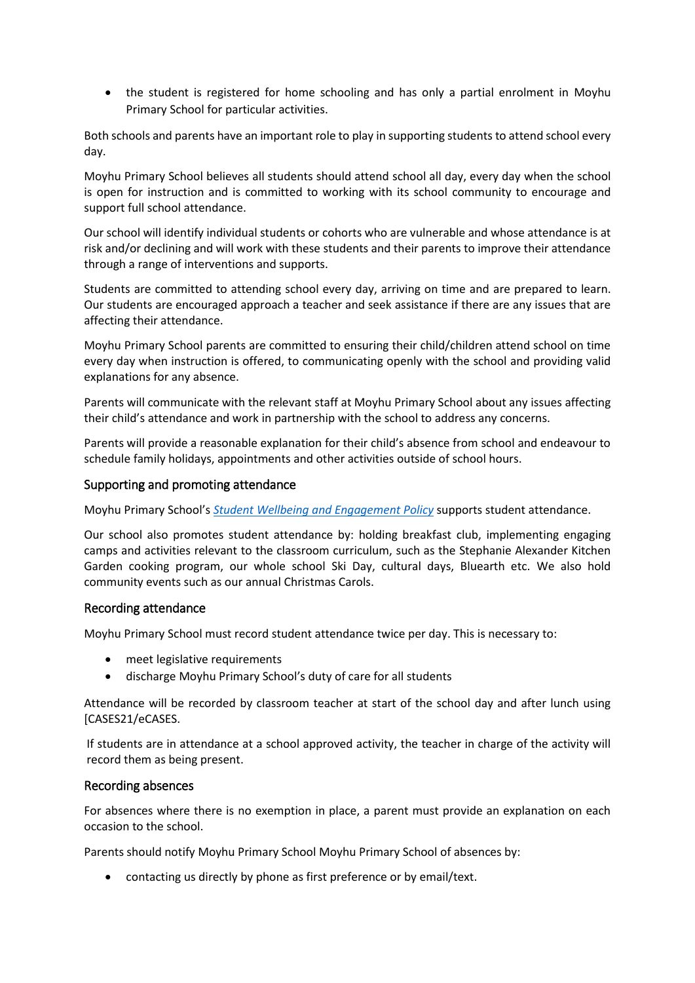• the student is registered for home schooling and has only a partial enrolment in Moyhu Primary School for particular activities.

Both schools and parents have an important role to play in supporting students to attend school every day.

Moyhu Primary School believes all students should attend school all day, every day when the school is open for instruction and is committed to working with its school community to encourage and support full school attendance.

Our school will identify individual students or cohorts who are vulnerable and whose attendance is at risk and/or declining and will work with these students and their parents to improve their attendance through a range of interventions and supports.

Students are committed to attending school every day, arriving on time and are prepared to learn. Our students are encouraged approach a teacher and seek assistance if there are any issues that are affecting their attendance.

Moyhu Primary School parents are committed to ensuring their child/children attend school on time every day when instruction is offered, to communicating openly with the school and providing valid explanations for any absence.

Parents will communicate with the relevant staff at Moyhu Primary School about any issues affecting their child's attendance and work in partnership with the school to address any concerns.

Parents will provide a reasonable explanation for their child's absence from school and endeavour to schedule family holidays, appointments and other activities outside of school hours.

#### Supporting and promoting attendance

Moyhu Primary School's *[Student Wellbeing and Engagement](https://secureservercdn.net/198.71.233.44/6mp.adb.myftpupload.com/wp-content/uploads/2019/11/Student-Wellbeing-and-Engagement-2019-2020.pdf) Policy* supports student attendance.

Our school also promotes student attendance by: holding breakfast club, implementing engaging camps and activities relevant to the classroom curriculum, such as the Stephanie Alexander Kitchen Garden cooking program, our whole school Ski Day, cultural days, Bluearth etc. We also hold community events such as our annual Christmas Carols.

#### Recording attendance

Moyhu Primary School must record student attendance twice per day. This is necessary to:

- meet legislative requirements
- discharge Moyhu Primary School's duty of care for all students

Attendance will be recorded by classroom teacher at start of the school day and after lunch using [CASES21/eCASES.

If students are in attendance at a school approved activity, the teacher in charge of the activity will record them as being present.

## Recording absences

For absences where there is no exemption in place, a parent must provide an explanation on each occasion to the school.

Parents should notify Moyhu Primary School Moyhu Primary School of absences by:

contacting us directly by phone as first preference or by email/text.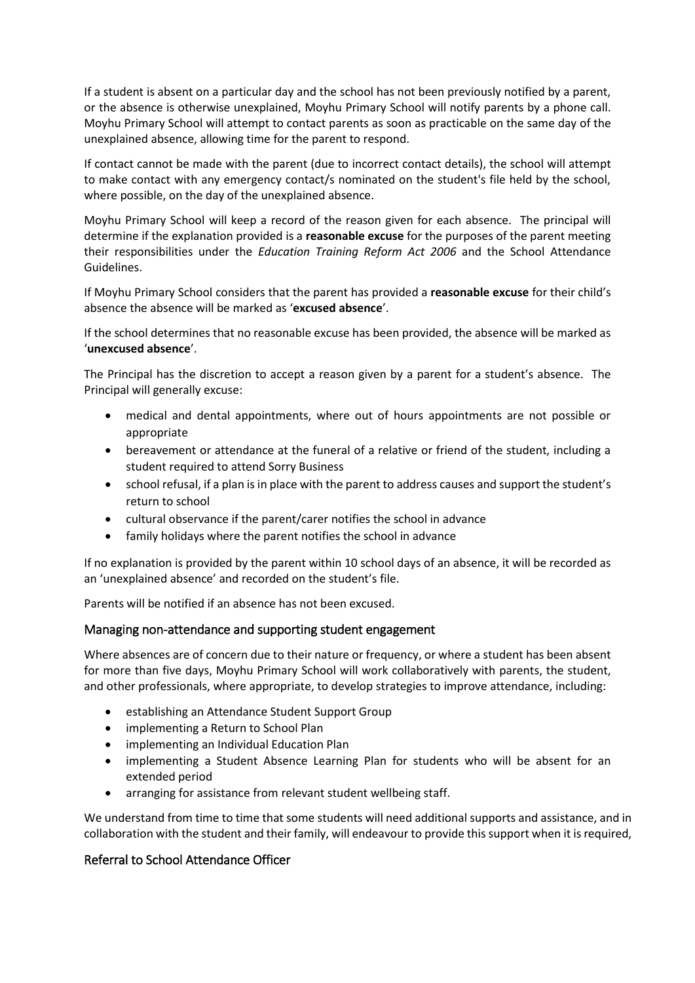If a student is absent on a particular day and the school has not been previously notified by a parent, or the absence is otherwise unexplained, Moyhu Primary School will notify parents by a phone call. Moyhu Primary School will attempt to contact parents as soon as practicable on the same day of the unexplained absence, allowing time for the parent to respond.

If contact cannot be made with the parent (due to incorrect contact details), the school will attempt to make contact with any emergency contact/s nominated on the student's file held by the school, where possible, on the day of the unexplained absence.

Moyhu Primary School will keep a record of the reason given for each absence. The principal will determine if the explanation provided is a **reasonable excuse** for the purposes of the parent meeting their responsibilities under the *Education Training Reform Act 2006* and the School Attendance Guidelines.

If Moyhu Primary School considers that the parent has provided a **reasonable excuse** for their child's absence the absence will be marked as '**excused absence**'.

If the school determines that no reasonable excuse has been provided, the absence will be marked as '**unexcused absence**'.

The Principal has the discretion to accept a reason given by a parent for a student's absence. The Principal will generally excuse:

- medical and dental appointments, where out of hours appointments are not possible or appropriate
- bereavement or attendance at the funeral of a relative or friend of the student, including a student required to attend Sorry Business
- school refusal, if a plan is in place with the parent to address causes and support the student's return to school
- cultural observance if the parent/carer notifies the school in advance
- family holidays where the parent notifies the school in advance

If no explanation is provided by the parent within 10 school days of an absence, it will be recorded as an 'unexplained absence' and recorded on the student's file.

Parents will be notified if an absence has not been excused.

## Managing non-attendance and supporting student engagement

Where absences are of concern due to their nature or frequency, or where a student has been absent for more than five days, Moyhu Primary School will work collaboratively with parents, the student, and other professionals, where appropriate, to develop strategies to improve attendance, including:

- establishing an Attendance Student Support Group
- implementing a Return to School Plan
- implementing an Individual Education Plan
- implementing a Student Absence Learning Plan for students who will be absent for an extended period
- arranging for assistance from relevant student wellbeing staff.

We understand from time to time that some students will need additional supports and assistance, and in collaboration with the student and their family, will endeavour to provide this support when it is required,

## Referral to School Attendance Officer